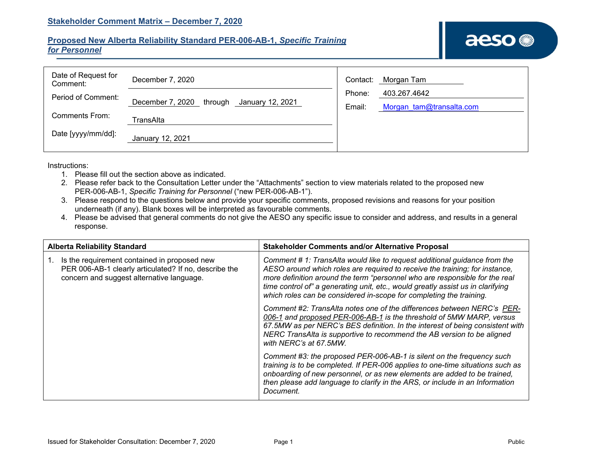## **Proposed New Alberta Reliability Standard PER-006-AB-1,** *Specific Training for Personnel*

| Date of Request for<br>Comment: | December 7, 2020                                | Contact: | Morgan Tam               |
|---------------------------------|-------------------------------------------------|----------|--------------------------|
| Period of Comment:              |                                                 | Phone:   | 403.267.4642             |
|                                 | December 7, 2020<br>through<br>January 12, 2021 | Email:   | Morgan tam@transalta.com |
| <b>Comments From:</b>           | TransAlta                                       |          |                          |
| Date [yyyy/mm/dd]:              | January 12, 2021                                |          |                          |

Instructions:

- 1. Please fill out the section above as indicated.
- 2. Please refer back to the Consultation Letter under the "Attachments" section to view materials related to the proposed new PER-006-AB-1, *Specific Training for Personnel* ("new PER-006-AB-1").
- 3. Please respond to the questions below and provide your specific comments, proposed revisions and reasons for your position underneath (if any). Blank boxes will be interpreted as favourable comments.
- 4. Please be advised that general comments do not give the AESO any specific issue to consider and address, and results in a general response.

| <b>Alberta Reliability Standard</b>                                                                                                                | <b>Stakeholder Comments and/or Alternative Proposal</b>                                                                                                                                                                                                                                                                                                                                           |  |  |
|----------------------------------------------------------------------------------------------------------------------------------------------------|---------------------------------------------------------------------------------------------------------------------------------------------------------------------------------------------------------------------------------------------------------------------------------------------------------------------------------------------------------------------------------------------------|--|--|
| Is the requirement contained in proposed new<br>PER 006-AB-1 clearly articulated? If no, describe the<br>concern and suggest alternative language. | Comment # 1: TransAlta would like to request additional guidance from the<br>AESO around which roles are required to receive the training; for instance,<br>more definition around the term "personnel who are responsible for the real<br>time control of" a generating unit, etc., would greatly assist us in clarifying<br>which roles can be considered in-scope for completing the training. |  |  |
|                                                                                                                                                    | Comment #2: TransAlta notes one of the differences between NERC's PER-<br>006-1 and proposed PER-006-AB-1 is the threshold of 5MW MARP. versus<br>67.5MW as per NERC's BES definition. In the interest of being consistent with<br>NERC TransAlta is supportive to recommend the AB version to be aligned<br>with NERC's at 67.5MW.                                                               |  |  |
|                                                                                                                                                    | Comment #3: the proposed PER-006-AB-1 is silent on the frequency such<br>training is to be completed. If PER-006 applies to one-time situations such as<br>onboarding of new personnel, or as new elements are added to be trained,<br>then please add language to clarify in the ARS, or include in an Information<br>Document.                                                                  |  |  |